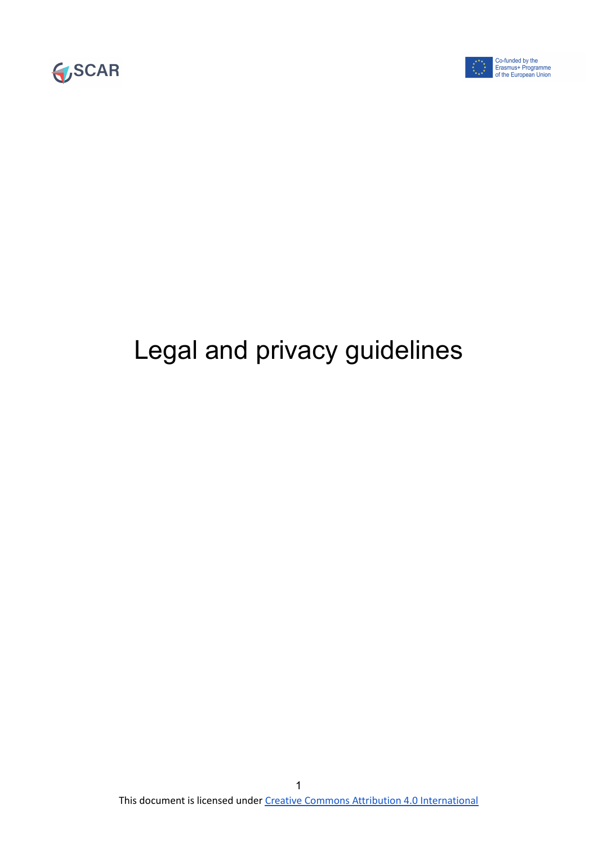



## Legal and privacy guidelines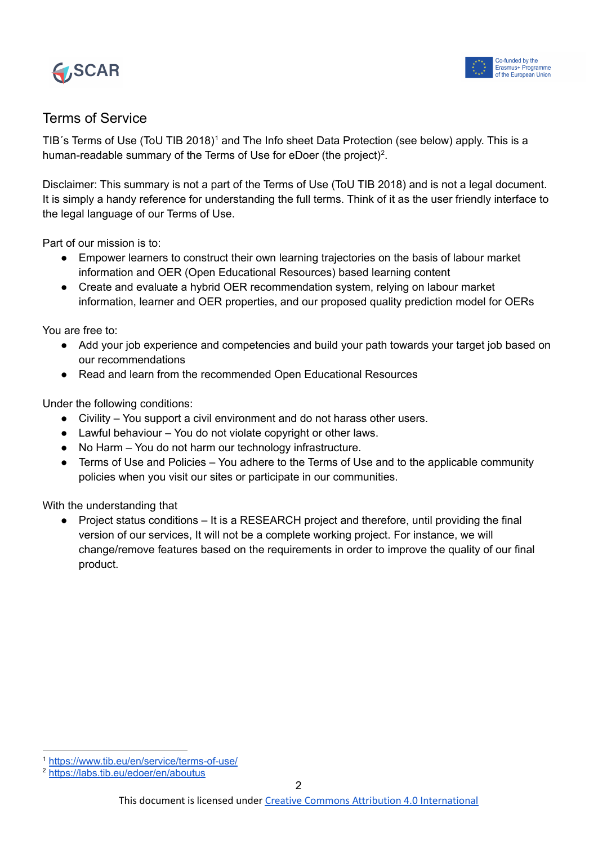



## Terms of Service

TIB's Terms of Use (ToU TIB 2018)<sup>1</sup> and The Info sheet Data Protection (see below) apply. This is a human-readable summary of the Terms of Use for eDoer (the project)<sup>2</sup>.

Disclaimer: This summary is not a part of the Terms of Use (ToU TIB 2018) and is not a legal document. It is simply a handy reference for understanding the full terms. Think of it as the user friendly interface to the legal language of our Terms of Use.

Part of our mission is to:

- Empower learners to construct their own learning trajectories on the basis of labour market information and OER (Open Educational Resources) based learning content
- Create and evaluate a hybrid OER recommendation system, relying on labour market information, learner and OER properties, and our proposed quality prediction model for OERs

You are free to:

- Add your job experience and competencies and build your path towards your target job based on our recommendations
- Read and learn from the recommended Open Educational Resources

Under the following conditions:

- Civility You support a civil environment and do not harass other users.
- Lawful behaviour You do not violate copyright or other laws.
- No Harm You do not harm our technology infrastructure.
- Terms of Use and Policies You adhere to the Terms of Use and to the applicable community policies when you visit our sites or participate in our communities.

With the understanding that

Project status conditions – It is a RESEARCH project and therefore, until providing the final version of our services, It will not be a complete working project. For instance, we will change/remove features based on the requirements in order to improve the quality of our final product.

<sup>1</sup> <https://www.tib.eu/en/service/terms-of-use/>

<sup>2</sup> <https://labs.tib.eu/edoer/en/aboutus>